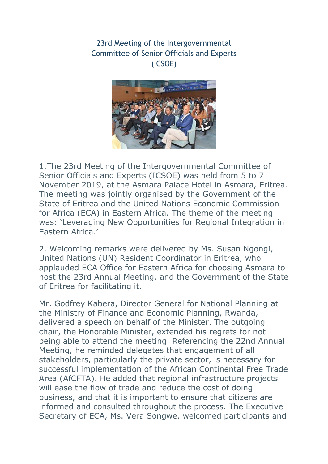## 23rd Meeting of the Intergovernmental Committee of Senior Officials and Experts (ICSOE)



1.The 23rd Meeting of the Intergovernmental Committee of Senior Officials and Experts (ICSOE) was held from 5 to 7 November 2019, at the Asmara Palace Hotel in Asmara, Eritrea. The meeting was jointly organised by the Government of the State of Eritrea and the United Nations Economic Commission for Africa (ECA) in Eastern Africa. The theme of the meeting was: 'Leveraging New Opportunities for Regional Integration in Eastern Africa.'

2. Welcoming remarks were delivered by Ms. Susan Ngongi, United Nations (UN) Resident Coordinator in Eritrea, who applauded ECA Office for Eastern Africa for choosing Asmara to host the 23rd Annual Meeting, and the Government of the State of Eritrea for facilitating it.

Mr. Godfrey Kabera, Director General for National Planning at the Ministry of Finance and Economic Planning, Rwanda, delivered a speech on behalf of the Minister. The outgoing chair, the Honorable Minister, extended his regrets for not being able to attend the meeting. Referencing the 22nd Annual Meeting, he reminded delegates that engagement of all stakeholders, particularly the private sector, is necessary for successful implementation of the African Continental Free Trade Area (AfCFTA). He added that regional infrastructure projects will ease the flow of trade and reduce the cost of doing business, and that it is important to ensure that citizens are informed and consulted throughout the process. The Executive Secretary of ECA, Ms. Vera Songwe, welcomed participants and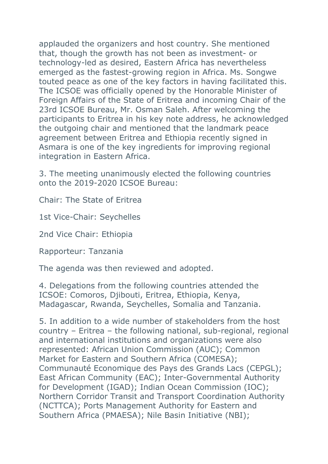applauded the organizers and host country. She mentioned that, though the growth has not been as investment- or technology-led as desired, Eastern Africa has nevertheless emerged as the fastest-growing region in Africa. Ms. Songwe touted peace as one of the key factors in having facilitated this. The ICSOE was officially opened by the Honorable Minister of Foreign Affairs of the State of Eritrea and incoming Chair of the 23rd ICSOE Bureau, Mr. Osman Saleh. After welcoming the participants to Eritrea in his key note address, he acknowledged the outgoing chair and mentioned that the landmark peace agreement between Eritrea and Ethiopia recently signed in Asmara is one of the key ingredients for improving regional integration in Eastern Africa.

3. The meeting unanimously elected the following countries onto the 2019-2020 ICSOE Bureau:

Chair: The State of Eritrea

1st Vice-Chair: Seychelles

2nd Vice Chair: Ethiopia

Rapporteur: Tanzania

The agenda was then reviewed and adopted.

4. Delegations from the following countries attended the ICSOE: Comoros, Djibouti, Eritrea, Ethiopia, Kenya, Madagascar, Rwanda, Seychelles, Somalia and Tanzania.

5. In addition to a wide number of stakeholders from the host country – Eritrea – the following national, sub-regional, regional and international institutions and organizations were also represented: African Union Commission (AUC); Common Market for Eastern and Southern Africa (COMESA); Communauté Economique des Pays des Grands Lacs (CEPGL); East African Community (EAC); Inter-Governmental Authority for Development (IGAD); Indian Ocean Commission (IOC); Northern Corridor Transit and Transport Coordination Authority (NCTTCA); Ports Management Authority for Eastern and Southern Africa (PMAESA); Nile Basin Initiative (NBI);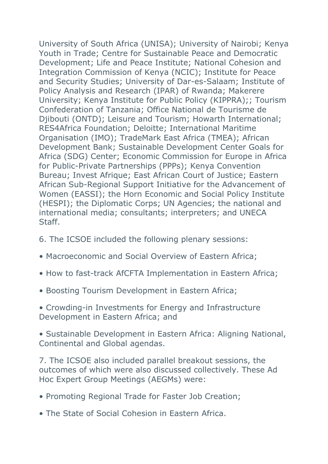University of South Africa (UNISA); University of Nairobi; Kenya Youth in Trade; Centre for Sustainable Peace and Democratic Development; Life and Peace Institute; National Cohesion and Integration Commission of Kenya (NCIC); Institute for Peace and Security Studies; University of Dar-es-Salaam; Institute of Policy Analysis and Research (IPAR) of Rwanda; Makerere University; Kenya Institute for Public Policy (KIPPRA);; Tourism Confederation of Tanzania; Office National de Tourisme de Djibouti (ONTD); Leisure and Tourism; Howarth International; RES4Africa Foundation; Deloitte; International Maritime Organisation (IMO); TradeMark East Africa (TMEA); African Development Bank; Sustainable Development Center Goals for Africa (SDG) Center; Economic Commission for Europe in Africa for Public-Private Partnerships (PPPs); Kenya Convention Bureau; Invest Afrique; East African Court of Justice; Eastern African Sub-Regional Support Initiative for the Advancement of Women (EASSI); the Horn Economic and Social Policy Institute (HESPI); the Diplomatic Corps; UN Agencies; the national and international media; consultants; interpreters; and UNECA Staff.

- 6. The ICSOE included the following plenary sessions:
- Macroeconomic and Social Overview of Eastern Africa;
- How to fast-track AfCFTA Implementation in Eastern Africa;
- Boosting Tourism Development in Eastern Africa;
- Crowding-in Investments for Energy and Infrastructure Development in Eastern Africa; and

• Sustainable Development in Eastern Africa: Aligning National, Continental and Global agendas.

7. The ICSOE also included parallel breakout sessions, the outcomes of which were also discussed collectively. These Ad Hoc Expert Group Meetings (AEGMs) were:

- Promoting Regional Trade for Faster Job Creation;
- The State of Social Cohesion in Eastern Africa.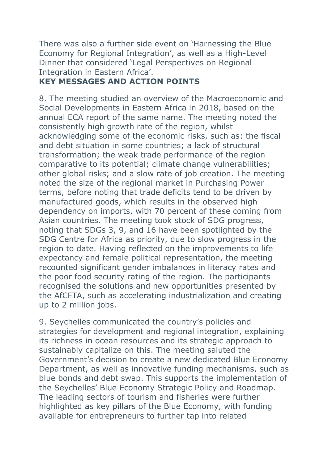There was also a further side event on 'Harnessing the Blue Economy for Regional Integration', as well as a High-Level Dinner that considered 'Legal Perspectives on Regional Integration in Eastern Africa'.

## **KEY MESSAGES AND ACTION POINTS**

8. The meeting studied an overview of the Macroeconomic and Social Developments in Eastern Africa in 2018, based on the annual ECA report of the same name. The meeting noted the consistently high growth rate of the region, whilst acknowledging some of the economic risks, such as: the fiscal and debt situation in some countries; a lack of structural transformation; the weak trade performance of the region comparative to its potential; climate change vulnerabilities; other global risks; and a slow rate of job creation. The meeting noted the size of the regional market in Purchasing Power terms, before noting that trade deficits tend to be driven by manufactured goods, which results in the observed high dependency on imports, with 70 percent of these coming from Asian countries. The meeting took stock of SDG progress, noting that SDGs 3, 9, and 16 have been spotlighted by the SDG Centre for Africa as priority, due to slow progress in the region to date. Having reflected on the improvements to life expectancy and female political representation, the meeting recounted significant gender imbalances in literacy rates and the poor food security rating of the region. The participants recognised the solutions and new opportunities presented by the AfCFTA, such as accelerating industrialization and creating up to 2 million jobs.

9. Seychelles communicated the country's policies and strategies for development and regional integration, explaining its richness in ocean resources and its strategic approach to sustainably capitalize on this. The meeting saluted the Government's decision to create a new dedicated Blue Economy Department, as well as innovative funding mechanisms, such as blue bonds and debt swap. This supports the implementation of the Seychelles' Blue Economy Strategic Policy and Roadmap. The leading sectors of tourism and fisheries were further highlighted as key pillars of the Blue Economy, with funding available for entrepreneurs to further tap into related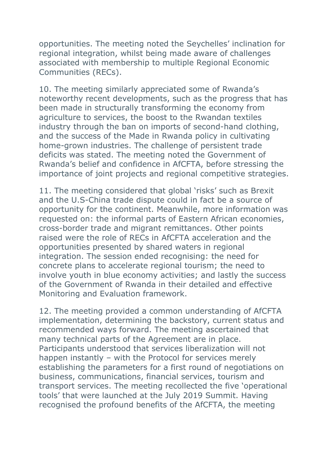opportunities. The meeting noted the Seychelles' inclination for regional integration, whilst being made aware of challenges associated with membership to multiple Regional Economic Communities (RECs).

10. The meeting similarly appreciated some of Rwanda's noteworthy recent developments, such as the progress that has been made in structurally transforming the economy from agriculture to services, the boost to the Rwandan textiles industry through the ban on imports of second-hand clothing, and the success of the Made in Rwanda policy in cultivating home-grown industries. The challenge of persistent trade deficits was stated. The meeting noted the Government of Rwanda's belief and confidence in AfCFTA, before stressing the importance of joint projects and regional competitive strategies.

11. The meeting considered that global 'risks' such as Brexit and the U.S-China trade dispute could in fact be a source of opportunity for the continent. Meanwhile, more information was requested on: the informal parts of Eastern African economies, cross-border trade and migrant remittances. Other points raised were the role of RECs in AfCFTA acceleration and the opportunities presented by shared waters in regional integration. The session ended recognising: the need for concrete plans to accelerate regional tourism; the need to involve youth in blue economy activities; and lastly the success of the Government of Rwanda in their detailed and effective Monitoring and Evaluation framework.

12. The meeting provided a common understanding of AfCFTA implementation, determining the backstory, current status and recommended ways forward. The meeting ascertained that many technical parts of the Agreement are in place. Participants understood that services liberalization will not happen instantly – with the Protocol for services merely establishing the parameters for a first round of negotiations on business, communications, financial services, tourism and transport services. The meeting recollected the five 'operational tools' that were launched at the July 2019 Summit. Having recognised the profound benefits of the AfCFTA, the meeting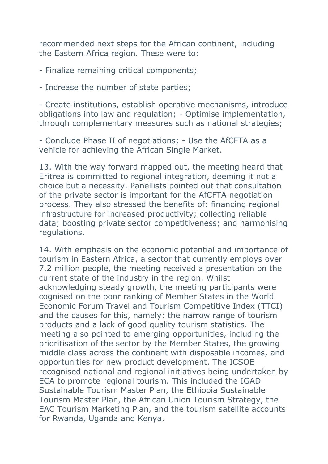recommended next steps for the African continent, including the Eastern Africa region. These were to:

- Finalize remaining critical components;

- Increase the number of state parties;

- Create institutions, establish operative mechanisms, introduce obligations into law and regulation; - Optimise implementation, through complementary measures such as national strategies;

- Conclude Phase II of negotiations; - Use the AfCFTA as a vehicle for achieving the African Single Market.

13. With the way forward mapped out, the meeting heard that Eritrea is committed to regional integration, deeming it not a choice but a necessity. Panellists pointed out that consultation of the private sector is important for the AfCFTA negotiation process. They also stressed the benefits of: financing regional infrastructure for increased productivity; collecting reliable data; boosting private sector competitiveness; and harmonising regulations.

14. With emphasis on the economic potential and importance of tourism in Eastern Africa, a sector that currently employs over 7.2 million people, the meeting received a presentation on the current state of the industry in the region. Whilst acknowledging steady growth, the meeting participants were cognised on the poor ranking of Member States in the World Economic Forum Travel and Tourism Competitive Index (TTCI) and the causes for this, namely: the narrow range of tourism products and a lack of good quality tourism statistics. The meeting also pointed to emerging opportunities, including the prioritisation of the sector by the Member States, the growing middle class across the continent with disposable incomes, and opportunities for new product development. The ICSOE recognised national and regional initiatives being undertaken by ECA to promote regional tourism. This included the IGAD Sustainable Tourism Master Plan, the Ethiopia Sustainable Tourism Master Plan, the African Union Tourism Strategy, the EAC Tourism Marketing Plan, and the tourism satellite accounts for Rwanda, Uganda and Kenya.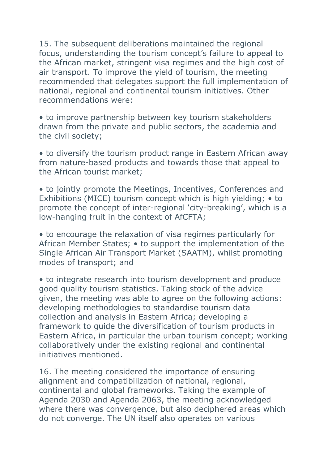15. The subsequent deliberations maintained the regional focus, understanding the tourism concept's failure to appeal to the African market, stringent visa regimes and the high cost of air transport. To improve the yield of tourism, the meeting recommended that delegates support the full implementation of national, regional and continental tourism initiatives. Other recommendations were:

• to improve partnership between key tourism stakeholders drawn from the private and public sectors, the academia and the civil society;

• to diversify the tourism product range in Eastern African away from nature-based products and towards those that appeal to the African tourist market;

• to jointly promote the Meetings, Incentives, Conferences and Exhibitions (MICE) tourism concept which is high yielding; • to promote the concept of inter-regional 'city-breaking', which is a low-hanging fruit in the context of AfCFTA;

• to encourage the relaxation of visa regimes particularly for African Member States; • to support the implementation of the Single African Air Transport Market (SAATM), whilst promoting modes of transport; and

• to integrate research into tourism development and produce good quality tourism statistics. Taking stock of the advice given, the meeting was able to agree on the following actions: developing methodologies to standardise tourism data collection and analysis in Eastern Africa; developing a framework to guide the diversification of tourism products in Eastern Africa, in particular the urban tourism concept; working collaboratively under the existing regional and continental initiatives mentioned.

16. The meeting considered the importance of ensuring alignment and compatibilization of national, regional, continental and global frameworks. Taking the example of Agenda 2030 and Agenda 2063, the meeting acknowledged where there was convergence, but also deciphered areas which do not converge. The UN itself also operates on various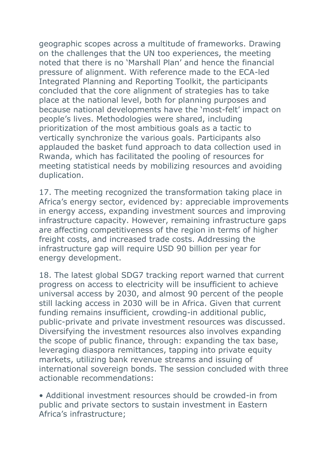geographic scopes across a multitude of frameworks. Drawing on the challenges that the UN too experiences, the meeting noted that there is no 'Marshall Plan' and hence the financial pressure of alignment. With reference made to the ECA-led Integrated Planning and Reporting Toolkit, the participants concluded that the core alignment of strategies has to take place at the national level, both for planning purposes and because national developments have the 'most-felt' impact on people's lives. Methodologies were shared, including prioritization of the most ambitious goals as a tactic to vertically synchronize the various goals. Participants also applauded the basket fund approach to data collection used in Rwanda, which has facilitated the pooling of resources for meeting statistical needs by mobilizing resources and avoiding duplication.

17. The meeting recognized the transformation taking place in Africa's energy sector, evidenced by: appreciable improvements in energy access, expanding investment sources and improving infrastructure capacity. However, remaining infrastructure gaps are affecting competitiveness of the region in terms of higher freight costs, and increased trade costs. Addressing the infrastructure gap will require USD 90 billion per year for energy development.

18. The latest global SDG7 tracking report warned that current progress on access to electricity will be insufficient to achieve universal access by 2030, and almost 90 percent of the people still lacking access in 2030 will be in Africa. Given that current funding remains insufficient, crowding-in additional public, public-private and private investment resources was discussed. Diversifying the investment resources also involves expanding the scope of public finance, through: expanding the tax base, leveraging diaspora remittances, tapping into private equity markets, utilizing bank revenue streams and issuing of international sovereign bonds. The session concluded with three actionable recommendations:

• Additional investment resources should be crowded-in from public and private sectors to sustain investment in Eastern Africa's infrastructure;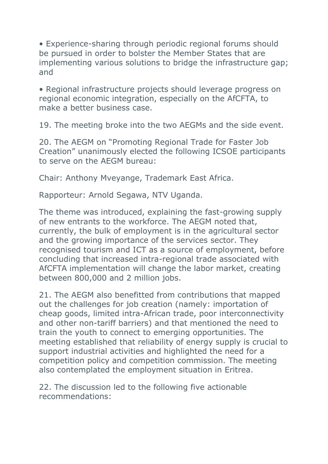• Experience-sharing through periodic regional forums should be pursued in order to bolster the Member States that are implementing various solutions to bridge the infrastructure gap; and

• Regional infrastructure projects should leverage progress on regional economic integration, especially on the AfCFTA, to make a better business case.

19. The meeting broke into the two AEGMs and the side event.

20. The AEGM on "Promoting Regional Trade for Faster Job Creation" unanimously elected the following ICSOE participants to serve on the AEGM bureau:

Chair: Anthony Mveyange, Trademark East Africa.

Rapporteur: Arnold Segawa, NTV Uganda.

The theme was introduced, explaining the fast-growing supply of new entrants to the workforce. The AEGM noted that, currently, the bulk of employment is in the agricultural sector and the growing importance of the services sector. They recognised tourism and ICT as a source of employment, before concluding that increased intra-regional trade associated with AfCFTA implementation will change the labor market, creating between 800,000 and 2 million jobs.

21. The AEGM also benefitted from contributions that mapped out the challenges for job creation (namely: importation of cheap goods, limited intra-African trade, poor interconnectivity and other non-tariff barriers) and that mentioned the need to train the youth to connect to emerging opportunities. The meeting established that reliability of energy supply is crucial to support industrial activities and highlighted the need for a competition policy and competition commission. The meeting also contemplated the employment situation in Eritrea.

22. The discussion led to the following five actionable recommendations: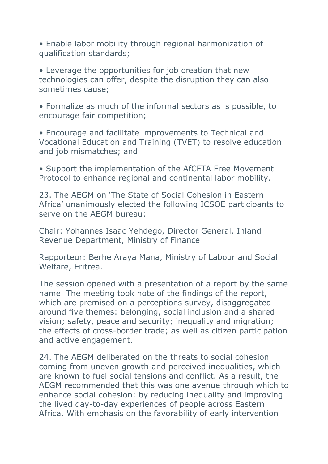• Enable labor mobility through regional harmonization of qualification standards;

• Leverage the opportunities for job creation that new technologies can offer, despite the disruption they can also sometimes cause;

• Formalize as much of the informal sectors as is possible, to encourage fair competition;

• Encourage and facilitate improvements to Technical and Vocational Education and Training (TVET) to resolve education and job mismatches; and

• Support the implementation of the AfCFTA Free Movement Protocol to enhance regional and continental labor mobility.

23. The AEGM on 'The State of Social Cohesion in Eastern Africa' unanimously elected the following ICSOE participants to serve on the AEGM bureau:

Chair: Yohannes Isaac Yehdego, Director General, Inland Revenue Department, Ministry of Finance

Rapporteur: Berhe Araya Mana, Ministry of Labour and Social Welfare, Eritrea.

The session opened with a presentation of a report by the same name. The meeting took note of the findings of the report, which are premised on a perceptions survey, disaggregated around five themes: belonging, social inclusion and a shared vision; safety, peace and security; inequality and migration; the effects of cross-border trade; as well as citizen participation and active engagement.

24. The AEGM deliberated on the threats to social cohesion coming from uneven growth and perceived inequalities, which are known to fuel social tensions and conflict. As a result, the AEGM recommended that this was one avenue through which to enhance social cohesion: by reducing inequality and improving the lived day-to-day experiences of people across Eastern Africa. With emphasis on the favorability of early intervention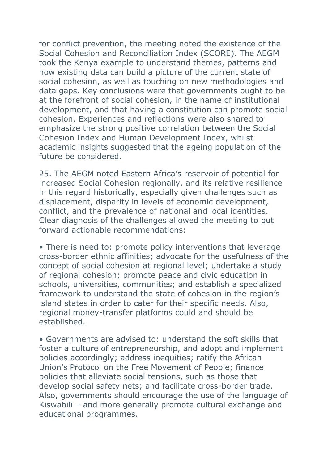for conflict prevention, the meeting noted the existence of the Social Cohesion and Reconciliation Index (SCORE). The AEGM took the Kenya example to understand themes, patterns and how existing data can build a picture of the current state of social cohesion, as well as touching on new methodologies and data gaps. Key conclusions were that governments ought to be at the forefront of social cohesion, in the name of institutional development, and that having a constitution can promote social cohesion. Experiences and reflections were also shared to emphasize the strong positive correlation between the Social Cohesion Index and Human Development Index, whilst academic insights suggested that the ageing population of the future be considered.

25. The AEGM noted Eastern Africa's reservoir of potential for increased Social Cohesion regionally, and its relative resilience in this regard historically, especially given challenges such as displacement, disparity in levels of economic development, conflict, and the prevalence of national and local identities. Clear diagnosis of the challenges allowed the meeting to put forward actionable recommendations:

• There is need to: promote policy interventions that leverage cross-border ethnic affinities; advocate for the usefulness of the concept of social cohesion at regional level; undertake a study of regional cohesion; promote peace and civic education in schools, universities, communities; and establish a specialized framework to understand the state of cohesion in the region's island states in order to cater for their specific needs. Also, regional money-transfer platforms could and should be established.

• Governments are advised to: understand the soft skills that foster a culture of entrepreneurship, and adopt and implement policies accordingly; address inequities; ratify the African Union's Protocol on the Free Movement of People; finance policies that alleviate social tensions, such as those that develop social safety nets; and facilitate cross-border trade. Also, governments should encourage the use of the language of Kiswahili – and more generally promote cultural exchange and educational programmes.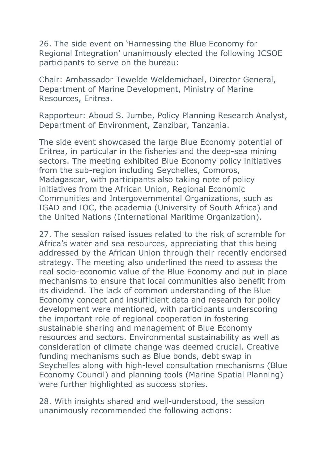26. The side event on 'Harnessing the Blue Economy for Regional Integration' unanimously elected the following ICSOE participants to serve on the bureau:

Chair: Ambassador Tewelde Weldemichael, Director General, Department of Marine Development, Ministry of Marine Resources, Eritrea.

Rapporteur: Aboud S. Jumbe, Policy Planning Research Analyst, Department of Environment, Zanzibar, Tanzania.

The side event showcased the large Blue Economy potential of Eritrea, in particular in the fisheries and the deep-sea mining sectors. The meeting exhibited Blue Economy policy initiatives from the sub-region including Seychelles, Comoros, Madagascar, with participants also taking note of policy initiatives from the African Union, Regional Economic Communities and Intergovernmental Organizations, such as IGAD and IOC, the academia (University of South Africa) and the United Nations (International Maritime Organization).

27. The session raised issues related to the risk of scramble for Africa's water and sea resources, appreciating that this being addressed by the African Union through their recently endorsed strategy. The meeting also underlined the need to assess the real socio-economic value of the Blue Economy and put in place mechanisms to ensure that local communities also benefit from its dividend. The lack of common understanding of the Blue Economy concept and insufficient data and research for policy development were mentioned, with participants underscoring the important role of regional cooperation in fostering sustainable sharing and management of Blue Economy resources and sectors. Environmental sustainability as well as consideration of climate change was deemed crucial. Creative funding mechanisms such as Blue bonds, debt swap in Seychelles along with high-level consultation mechanisms (Blue Economy Council) and planning tools (Marine Spatial Planning) were further highlighted as success stories.

28. With insights shared and well-understood, the session unanimously recommended the following actions: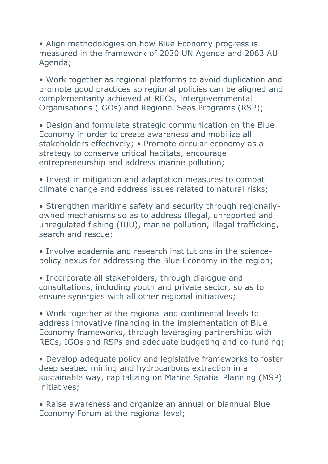• Align methodologies on how Blue Economy progress is measured in the framework of 2030 UN Agenda and 2063 AU Agenda;

• Work together as regional platforms to avoid duplication and promote good practices so regional policies can be aligned and complementarity achieved at RECs, Intergovernmental Organisations (IGOs) and Regional Seas Programs (RSP);

• Design and formulate strategic communication on the Blue Economy in order to create awareness and mobilize all stakeholders effectively; • Promote circular economy as a strategy to conserve critical habitats, encourage entrepreneurship and address marine pollution;

• Invest in mitigation and adaptation measures to combat climate change and address issues related to natural risks;

• Strengthen maritime safety and security through regionallyowned mechanisms so as to address Illegal, unreported and unregulated fishing (IUU), marine pollution, illegal trafficking, search and rescue;

• Involve academia and research institutions in the sciencepolicy nexus for addressing the Blue Economy in the region;

• Incorporate all stakeholders, through dialogue and consultations, including youth and private sector, so as to ensure synergies with all other regional initiatives;

• Work together at the regional and continental levels to address innovative financing in the implementation of Blue Economy frameworks, through leveraging partnerships with RECs, IGOs and RSPs and adequate budgeting and co-funding;

• Develop adequate policy and legislative frameworks to foster deep seabed mining and hydrocarbons extraction in a sustainable way, capitalizing on Marine Spatial Planning (MSP) initiatives;

• Raise awareness and organize an annual or biannual Blue Economy Forum at the regional level;